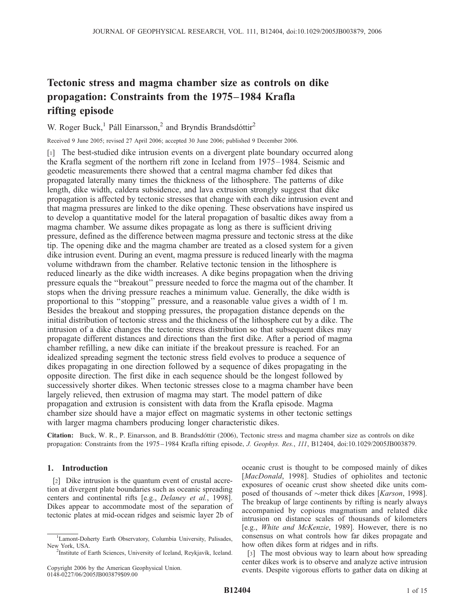# Tectonic stress and magma chamber size as controls on dike propagation: Constraints from the 1975–1984 Krafla rifting episode

W. Roger Buck,<sup>1</sup> Páll Einarsson,<sup>2</sup> and Bryndís Brandsdóttir<sup>2</sup>

Received 9 June 2005; revised 27 April 2006; accepted 30 June 2006; published 9 December 2006.

[1] The best-studied dike intrusion events on a divergent plate boundary occurred along the Krafla segment of the northern rift zone in Iceland from 1975–1984. Seismic and geodetic measurements there showed that a central magma chamber fed dikes that propagated laterally many times the thickness of the lithosphere. The patterns of dike length, dike width, caldera subsidence, and lava extrusion strongly suggest that dike propagation is affected by tectonic stresses that change with each dike intrusion event and that magma pressures are linked to the dike opening. These observations have inspired us to develop a quantitative model for the lateral propagation of basaltic dikes away from a magma chamber. We assume dikes propagate as long as there is sufficient driving pressure, defined as the difference between magma pressure and tectonic stress at the dike tip. The opening dike and the magma chamber are treated as a closed system for a given dike intrusion event. During an event, magma pressure is reduced linearly with the magma volume withdrawn from the chamber. Relative tectonic tension in the lithosphere is reduced linearly as the dike width increases. A dike begins propagation when the driving pressure equals the ''breakout'' pressure needed to force the magma out of the chamber. It stops when the driving pressure reaches a minimum value. Generally, the dike width is proportional to this ''stopping'' pressure, and a reasonable value gives a width of 1 m. Besides the breakout and stopping pressures, the propagation distance depends on the initial distribution of tectonic stress and the thickness of the lithosphere cut by a dike. The intrusion of a dike changes the tectonic stress distribution so that subsequent dikes may propagate different distances and directions than the first dike. After a period of magma chamber refilling, a new dike can initiate if the breakout pressure is reached. For an idealized spreading segment the tectonic stress field evolves to produce a sequence of dikes propagating in one direction followed by a sequence of dikes propagating in the opposite direction. The first dike in each sequence should be the longest followed by successively shorter dikes. When tectonic stresses close to a magma chamber have been largely relieved, then extrusion of magma may start. The model pattern of dike propagation and extrusion is consistent with data from the Krafla episode. Magma chamber size should have a major effect on magmatic systems in other tectonic settings with larger magma chambers producing longer characteristic dikes.

Citation: Buck, W. R., P. Einarsson, and B. Brandsdóttir (2006), Tectonic stress and magma chamber size as controls on dike propagation: Constraints from the 1975–1984 Krafla rifting episode, J. Geophys. Res., 111, B12404, doi:10.1029/2005JB003879.

## 1. Introduction

[2] Dike intrusion is the quantum event of crustal accretion at divergent plate boundaries such as oceanic spreading centers and continental rifts [e.g., Delaney et al., 1998]. Dikes appear to accommodate most of the separation of tectonic plates at mid-ocean ridges and seismic layer 2b of

oceanic crust is thought to be composed mainly of dikes [MacDonald, 1998]. Studies of ophiolites and tectonic exposures of oceanic crust show sheeted dike units composed of thousands of  $\sim$ meter thick dikes [*Karson*, 1998]. The breakup of large continents by rifting is nearly always accompanied by copious magmatism and related dike intrusion on distance scales of thousands of kilometers [e.g., White and McKenzie, 1989]. However, there is no consensus on what controls how far dikes propagate and how often dikes form at ridges and in rifts.

[3] The most obvious way to learn about how spreading center dikes work is to observe and analyze active intrusion events. Despite vigorous efforts to gather data on diking at

<sup>&</sup>lt;sup>1</sup>Lamont-Doherty Earth Observatory, Columbia University, Palisades, New York, USA.<br><sup>2</sup>Institute of Earth Sciences, University of Iceland, Reykjavík, Iceland.

Copyright 2006 by the American Geophysical Union. 0148-0227/06/2005JB003879\$09.00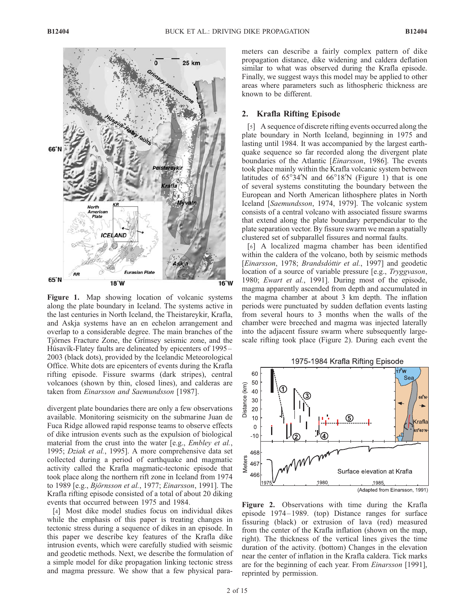

Figure 1. Map showing location of volcanic systems along the plate boundary in Iceland. The systems active in the last centuries in North Iceland, the Theistareykir, Krafla, and Askja systems have an en echelon arrangement and overlap to a considerable degree. The main branches of the Tiörnes Fracture Zone, the Grímsey seismic zone, and the Húsavík-Flatey faults are delineated by epicenters of 1995 – 2003 (black dots), provided by the Icelandic Meteorological Office. White dots are epicenters of events during the Krafla rifting episode. Fissure swarms (dark stripes), central volcanoes (shown by thin, closed lines), and calderas are taken from Einarsson and Saemundsson [1987].

divergent plate boundaries there are only a few observations available. Monitoring seismicity on the submarine Juan de Fuca Ridge allowed rapid response teams to observe effects of dike intrusion events such as the expulsion of biological material from the crust into the water [e.g., *Embley et al.*, 1995; Dziak et al., 1995]. A more comprehensive data set collected during a period of earthquake and magmatic activity called the Krafla magmatic-tectonic episode that took place along the northern rift zone in Iceland from 1974 to 1989 [e.g., Björnsson et al., 1977; Einarsson, 1991]. The Krafla rifting episode consisted of a total of about 20 diking events that occurred between 1975 and 1984.

[4] Most dike model studies focus on individual dikes while the emphasis of this paper is treating changes in tectonic stress during a sequence of dikes in an episode. In this paper we describe key features of the Krafla dike intrusion events, which were carefully studied with seismic and geodetic methods. Next, we describe the formulation of a simple model for dike propagation linking tectonic stress and magma pressure. We show that a few physical parameters can describe a fairly complex pattern of dike propagation distance, dike widening and caldera deflation similar to what was observed during the Krafla episode. Finally, we suggest ways this model may be applied to other areas where parameters such as lithospheric thickness are known to be different.

#### 2. Krafla Rifting Episode

[5] A sequence of discrete rifting events occurred along the plate boundary in North Iceland, beginning in 1975 and lasting until 1984. It was accompanied by the largest earthquake sequence so far recorded along the divergent plate boundaries of the Atlantic [*Einarsson*, 1986]. The events took place mainly within the Krafla volcanic system between latitudes of  $65^{\circ}34'N$  and  $66^{\circ}18'N$  (Figure 1) that is one of several systems constituting the boundary between the European and North American lithosphere plates in North Iceland [Saemundsson, 1974, 1979]. The volcanic system consists of a central volcano with associated fissure swarms that extend along the plate boundary perpendicular to the plate separation vector. By fissure swarm we mean a spatially clustered set of subparallel fissures and normal faults.

[6] A localized magma chamber has been identified within the caldera of the volcano, both by seismic methods [Einarsson, 1978; Brandsdóttir et al., 1997] and geodetic location of a source of variable pressure [e.g., *Tryggvason*, 1980; Ewart et al., 1991]. During most of the episode, magma apparently ascended from depth and accumulated in the magma chamber at about 3 km depth. The inflation periods were punctuated by sudden deflation events lasting from several hours to 3 months when the walls of the chamber were breeched and magma was injected laterally into the adjacent fissure swarm where subsequently largescale rifting took place (Figure 2). During each event the



Figure 2. Observations with time during the Krafla episode 1974 – 1989. (top) Distance ranges for surface fissuring (black) or extrusion of lava (red) measured from the center of the Krafla inflation (shown on the map, right). The thickness of the vertical lines gives the time duration of the activity. (bottom) Changes in the elevation near the center of inflation in the Krafla caldera. Tick marks are for the beginning of each year. From Einarsson [1991], reprinted by permission.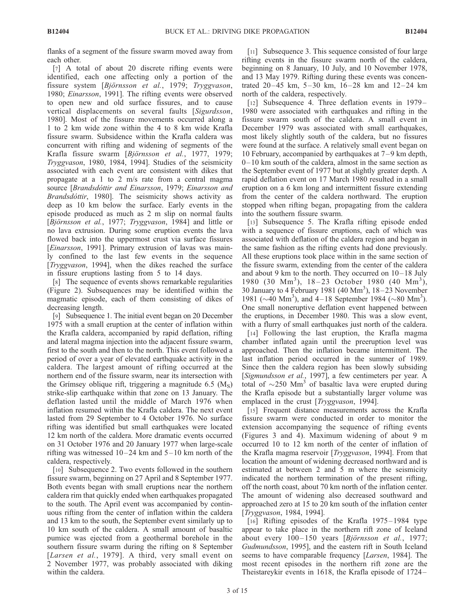flanks of a segment of the fissure swarm moved away from each other.

[7] A total of about 20 discrete rifting events were identified, each one affecting only a portion of the fissure system [Björnsson et al., 1979; Tryggvason, 1980; Einarsson, 1991]. The rifting events were observed to open new and old surface fissures, and to cause vertical displacements on several faults [Sigurdsson, 1980]. Most of the fissure movements occurred along a 1 to 2 km wide zone within the 4 to 8 km wide Krafla fissure swarm. Subsidence within the Krafla caldera was concurrent with rifting and widening of segments of the Krafla fissure swarm [Björnsson et al., 1977, 1979; Tryggvason, 1980, 1984, 1994]. Studies of the seismicity associated with each event are consistent with dikes that propagate at a 1 to 2 m/s rate from a central magma source [Brandsdóttir and Einarsson, 1979; Einarsson and Brandsdóttir, 1980]. The seismicity shows activity as deep as 10 km below the surface. Early events in the episode produced as much as 2 m slip on normal faults [Björnsson et al., 1977; Tryggvason, 1984] and little or no lava extrusion. During some eruption events the lava flowed back into the uppermost crust via surface fissures [*Einarsson*, 1991]. Primary extrusion of lavas was mainly confined to the last few events in the sequence [Tryggvason, 1994], when the dikes reached the surface in fissure eruptions lasting from 5 to 14 days.

[8] The sequence of events shows remarkable regularities (Figure 2). Subsequences may be identified within the magmatic episode, each of them consisting of dikes of decreasing length.

[9] Subsequence 1. The initial event began on 20 December 1975 with a small eruption at the center of inflation within the Krafla caldera, accompanied by rapid deflation, rifting and lateral magma injection into the adjacent fissure swarm, first to the south and then to the north. This event followed a period of over a year of elevated earthquake activity in the caldera. The largest amount of rifting occurred at the northern end of the fissure swarm, near its intersection with the Grímsey oblique rift, triggering a magnitude 6.5  $(M<sub>S</sub>)$ strike-slip earthquake within that zone on 13 January. The deflation lasted until the middle of March 1976 when inflation resumed within the Krafla caldera. The next event lasted from 29 September to 4 October 1976. No surface rifting was identified but small earthquakes were located 12 km north of the caldera. More dramatic events occurred on 31 October 1976 and 20 January 1977 when large-scale rifting was witnessed  $10-24$  km and  $5-10$  km north of the caldera, respectively.

[10] Subsequence 2. Two events followed in the southern fissure swarm, beginning on 27 April and 8 September 1977. Both events began with small eruptions near the northern caldera rim that quickly ended when earthquakes propagated to the south. The April event was accompanied by continuous rifting from the center of inflation within the caldera and 13 km to the south, the September event similarly up to 10 km south of the caldera. A small amount of basaltic pumice was ejected from a geothermal borehole in the southern fissure swarm during the rifting on 8 September [Larsen et al., 1979]. A third, very small event on 2 November 1977, was probably associated with diking within the caldera.

[11] Subsequence 3. This sequence consisted of four large rifting events in the fissure swarm north of the caldera, beginning on 8 January, 10 July, and 10 November 1978, and 13 May 1979. Rifting during these events was concentrated  $20-45$  km,  $5-30$  km,  $16-28$  km and  $12-24$  km north of the caldera, respectively.

[12] Subsequence 4. Three deflation events in 1979– 1980 were associated with earthquakes and rifting in the fissure swarm south of the caldera. A small event in December 1979 was associated with small earthquakes, most likely slightly south of the caldera, but no fissures were found at the surface. A relatively small event began on 10 February, accompanied by earthquakes at  $7-9$  km depth, 0– 10 km south of the caldera, almost in the same section as the September event of 1977 but at slightly greater depth. A rapid deflation event on 17 March 1980 resulted in a small eruption on a 6 km long and intermittent fissure extending from the center of the caldera northward. The eruption stopped when rifting began, propagating from the caldera into the southern fissure swarm.

[13] Subsequence 5. The Krafla rifting episode ended with a sequence of fissure eruptions, each of which was associated with deflation of the caldera region and began in the same fashion as the rifting events had done previously. All these eruptions took place within in the same section of the fissure swarm, extending from the center of the caldera and about 9 km to the north. They occurred on  $10-18$  July 1980 (30 Mm<sup>3</sup>), 18-23 October 1980 (40 Mm<sup>3</sup>), 30 January to 4 February 1981 (40  $Mm<sup>3</sup>$ ), 18–23 November 1981 ( $\sim$ 40 Mm<sup>3</sup>), and 4–18 September 1984 ( $\sim$ 80 Mm<sup>3</sup>). One small noneruptive deflation event happened between the eruptions, in December 1980. This was a slow event, with a flurry of small earthquakes just north of the caldera.

[14] Following the last eruption, the Krafla magma chamber inflated again until the preeruption level was approached. Then the inflation became intermittent. The last inflation period occurred in the summer of 1989. Since then the caldera region has been slowly subsiding [Sigmundsson et al., 1997], a few centimeters per year. A total of  $\sim$ 250 Mm<sup>3</sup> of basaltic lava were erupted during the Krafla episode but a substantially larger volume was emplaced in the crust [*Tryggvason*, 1994].

[15] Frequent distance measurements across the Krafla fissure swarm were conducted in order to monitor the extension accompanying the sequence of rifting events (Figures 3 and 4). Maximum widening of about 9 m occurred 10 to 12 km north of the center of inflation of the Krafla magma reservoir [Tryggvason, 1994]. From that location the amount of widening decreased northward and is estimated at between 2 and 5 m where the seismicity indicated the northern termination of the present rifting, off the north coast, about 70 km north of the inflation center. The amount of widening also decreased southward and approached zero at 15 to 20 km south of the inflation center [Tryggvason, 1984, 1994].

[16] Rifting episodes of the Krafla 1975–1984 type appear to take place in the northern rift zone of Iceland about every  $100 - 150$  years [Björnsson et al., 1977; Gudmundsson, 1995], and the eastern rift in South Iceland seems to have comparable frequency [Larsen, 1984]. The most recent episodes in the northern rift zone are the Theistareykir events in 1618, the Krafla episode of 1724–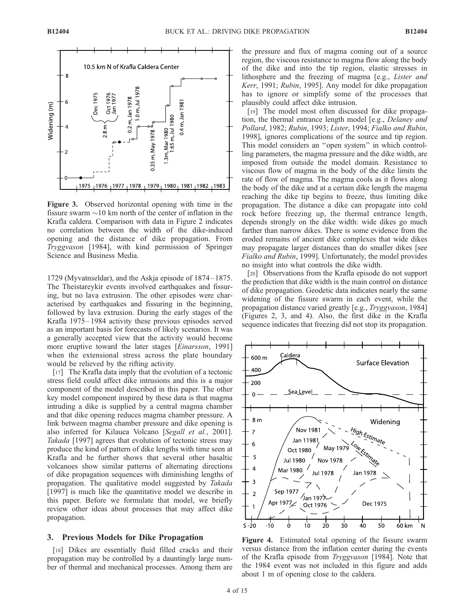

Figure 3. Observed horizontal opening with time in the fissure swarm  $\sim$ 10 km north of the center of inflation in the Krafla caldera. Comparison with data in Figure 2 indicates no correlation between the width of the dike-induced opening and the distance of dike propagation. From Tryggvason [1984], with kind permission of Springer Science and Business Media.

1729 (Myvatnseldar), and the Askja episode of 1874 –1875. The Theistareykir events involved earthquakes and fissuring, but no lava extrusion. The other episodes were characterised by earthquakes and fissuring in the beginning, followed by lava extrusion. During the early stages of the Krafla 1975–1984 activity these previous episodes served as an important basis for forecasts of likely scenarios. It was a generally accepted view that the activity would become more eruptive toward the later stages [Einarsson, 1991] when the extensional stress across the plate boundary would be relieved by the rifting activity.

[17] The Krafla data imply that the evolution of a tectonic stress field could affect dike intrusions and this is a major component of the model described in this paper. The other key model component inspired by these data is that magma intruding a dike is supplied by a central magma chamber and that dike opening reduces magma chamber pressure. A link between magma chamber pressure and dike opening is also inferred for Kilauea Volcano [Segall et al., 2001]. Takada [1997] agrees that evolution of tectonic stress may produce the kind of pattern of dike lengths with time seen at Krafla and he further shows that several other basaltic volcanoes show similar patterns of alternating directions of dike propagation sequences with diminishing lengths of propagation. The qualitative model suggested by Takada [1997] is much like the quantitative model we describe in this paper. Before we formulate that model, we briefly review other ideas about processes that may affect dike propagation.

## 3. Previous Models for Dike Propagation

[18] Dikes are essentially fluid filled cracks and their propagation may be controlled by a dauntingly large number of thermal and mechanical processes. Among them are the pressure and flux of magma coming out of a source region, the viscous resistance to magma flow along the body of the dike and into the tip region, elastic stresses in lithosphere and the freezing of magma [e.g., Lister and Kerr, 1991; Rubin, 1995]. Any model for dike propagation has to ignore or simplify some of the processes that plausibly could affect dike intrusion.

[19] The model most often discussed for dike propagation, the thermal entrance length model [e.g., Delaney and Pollard, 1982; Rubin, 1993; Lister, 1994; Fialko and Rubin, 1998], ignores complications of the source and tip region. This model considers an ''open system'' in which controlling parameters, the magma pressure and the dike width, are imposed from outside the model domain. Resistance to viscous flow of magma in the body of the dike limits the rate of flow of magma. The magma cools as it flows along the body of the dike and at a certain dike length the magma reaching the dike tip begins to freeze, thus limiting dike propagation. The distance a dike can propagate into cold rock before freezing up, the thermal entrance length, depends strongly on the dike width: wide dikes go much farther than narrow dikes. There is some evidence from the eroded remains of ancient dike complexes that wide dikes may propagate larger distances than do smaller dikes [see Fialko and Rubin, 1999]. Unfortunately, the model provides no insight into what controls the dike width.

[20] Observations from the Krafla episode do not support the prediction that dike width is the main control on distance of dike propagation. Geodetic data indicates nearly the same widening of the fissure swarm in each event, while the propagation distance varied greatly [e.g., Tryggvason, 1984] (Figures 2, 3, and 4). Also, the first dike in the Krafla sequence indicates that freezing did not stop its propagation.



**Figure 4.** Estimated total opening of the fissure swarm versus distance from the inflation center during the events of the Krafla episode from Tryggvason [1984]. Note that the 1984 event was not included in this figure and adds about 1 m of opening close to the caldera.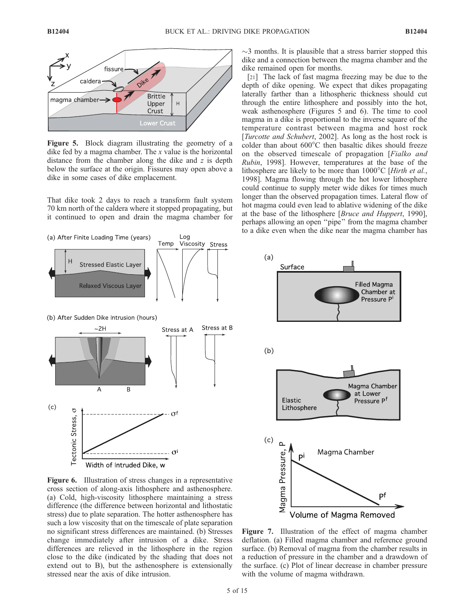

Figure 5. Block diagram illustrating the geometry of a dike fed by a magma chamber. The x value is the horizontal distance from the chamber along the dike and  $z$  is depth below the surface at the origin. Fissures may open above a dike in some cases of dike emplacement.

That dike took 2 days to reach a transform fault system 70 km north of the caldera where it stopped propagating, but it continued to open and drain the magma chamber for





Figure 6. Illustration of stress changes in a representative cross section of along-axis lithosphere and asthenosphere. (a) Cold, high-viscosity lithosphere maintaining a stress difference (the difference between horizontal and lithostatic stress) due to plate separation. The hotter asthenosphere has such a low viscosity that on the timescale of plate separation no significant stress differences are maintained. (b) Stresses change immediately after intrusion of a dike. Stress differences are relieved in the lithosphere in the region close to the dike (indicated by the shading that does not extend out to B), but the asthenosphere is extensionally stressed near the axis of dike intrusion.

 $\sim$ 3 months. It is plausible that a stress barrier stopped this dike and a connection between the magma chamber and the dike remained open for months.

[21] The lack of fast magma freezing may be due to the depth of dike opening. We expect that dikes propagating laterally farther than a lithospheric thickness should cut through the entire lithosphere and possibly into the hot, weak asthenosphere (Figures 5 and 6). The time to cool magma in a dike is proportional to the inverse square of the temperature contrast between magma and host rock [Turcotte and Schubert, 2002]. As long as the host rock is colder than about  $600^{\circ}$ C then basaltic dikes should freeze on the observed timescale of propagation [Fialko and Rubin, 1998]. However, temperatures at the base of the lithosphere are likely to be more than  $1000^{\circ}$ C [Hirth et al., 1998]. Magma flowing through the hot lower lithosphere could continue to supply meter wide dikes for times much longer than the observed propagation times. Lateral flow of hot magma could even lead to ablative widening of the dike at the base of the lithosphere [Bruce and Huppert, 1990], perhaps allowing an open ''pipe'' from the magma chamber to a dike even when the dike near the magma chamber has



Figure 7. Illustration of the effect of magma chamber deflation. (a) Filled magma chamber and reference ground surface. (b) Removal of magma from the chamber results in a reduction of pressure in the chamber and a drawdown of the surface. (c) Plot of linear decrease in chamber pressure with the volume of magma withdrawn.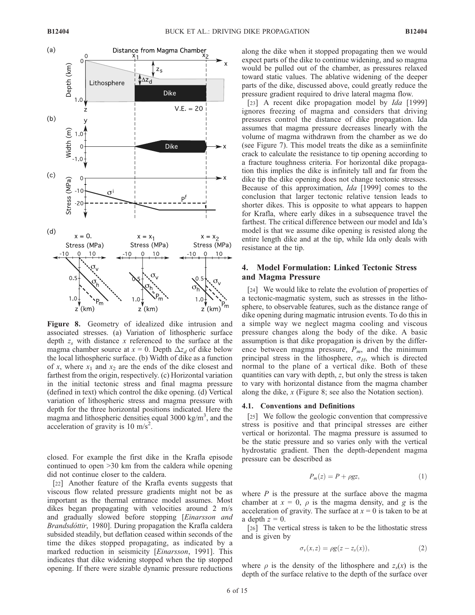

Figure 8. Geometry of idealized dike intrusion and associated stresses. (a) Variation of lithospheric surface depth  $z_s$  with distance x referenced to the surface at the magma chamber source at  $x = 0$ . Depth  $\Delta z_d$  of dike below the local lithospheric surface. (b) Width of dike as a function of x, where  $x_1$  and  $x_2$  are the ends of the dike closest and farthest from the origin, respectively. (c) Horizontal variation in the initial tectonic stress and final magma pressure (defined in text) which control the dike opening. (d) Vertical variation of lithospheric stress and magma pressure with depth for the three horizontal positions indicated. Here the magma and lithospheric densities equal 3000 kg/m<sup>3</sup>, and the acceleration of gravity is 10 m/s<sup>2</sup>.

closed. For example the first dike in the Krafla episode continued to open >30 km from the caldera while opening did not continue closer to the caldera.

[22] Another feature of the Krafla events suggests that viscous flow related pressure gradients might not be as important as the thermal entrance model assumes. Most dikes began propagating with velocities around 2 m/s and gradually slowed before stopping [Einarsson and Brandsdóttir, 1980]. During propagation the Krafla caldera subsided steadily, but deflation ceased within seconds of the time the dikes stopped propagating, as indicated by a marked reduction in seismicity [*Einarsson*, 1991]. This indicates that dike widening stopped when the tip stopped opening. If there were sizable dynamic pressure reductions

along the dike when it stopped propagating then we would expect parts of the dike to continue widening, and so magma would be pulled out of the chamber, as pressures relaxed toward static values. The ablative widening of the deeper parts of the dike, discussed above, could greatly reduce the pressure gradient required to drive lateral magma flow.

[23] A recent dike propagation model by *Ida* [1999] ignores freezing of magma and considers that driving pressures control the distance of dike propagation. Ida assumes that magma pressure decreases linearly with the volume of magma withdrawn from the chamber as we do (see Figure 7). This model treats the dike as a semiinfinite crack to calculate the resistance to tip opening according to a fracture toughness criteria. For horizontal dike propagation this implies the dike is infinitely tall and far from the dike tip the dike opening does not change tectonic stresses. Because of this approximation, Ida [1999] comes to the conclusion that larger tectonic relative tension leads to shorter dikes. This is opposite to what appears to happen for Krafla, where early dikes in a subsequence travel the farthest. The critical difference between our model and Ida's model is that we assume dike opening is resisted along the entire length dike and at the tip, while Ida only deals with resistance at the tip.

## 4. Model Formulation: Linked Tectonic Stress and Magma Pressure

[24] We would like to relate the evolution of properties of a tectonic-magmatic system, such as stresses in the lithosphere, to observable features, such as the distance range of dike opening during magmatic intrusion events. To do this in a simple way we neglect magma cooling and viscous pressure changes along the body of the dike. A basic assumption is that dike propagation is driven by the difference between magma pressure,  $P_m$ , and the minimum principal stress in the lithosphere,  $\sigma_H$ , which is directed normal to the plane of a vertical dike. Both of these quantities can vary with depth, z, but only the stress is taken to vary with horizontal distance from the magma chamber along the dike, x (Figure 8; see also the Notation section).

#### 4.1. Conventions and Definitions

[25] We follow the geologic convention that compressive stress is positive and that principal stresses are either vertical or horizontal. The magma pressure is assumed to be the static pressure and so varies only with the vertical hydrostatic gradient. Then the depth-dependent magma pressure can be described as

$$
P_m(z) = P + \rho gz,\tag{1}
$$

where  $P$  is the pressure at the surface above the magma chamber at  $x = 0$ ,  $\rho$  is the magma density, and g is the acceleration of gravity. The surface at  $x = 0$  is taken to be at a depth  $z = 0$ .

[26] The vertical stress is taken to be the lithostatic stress and is given by

$$
\sigma_{\nu}(x,z) = \rho g(z - z_s(x)),\tag{2}
$$

where  $\rho$  is the density of the lithosphere and  $z<sub>s</sub>(x)$  is the depth of the surface relative to the depth of the surface over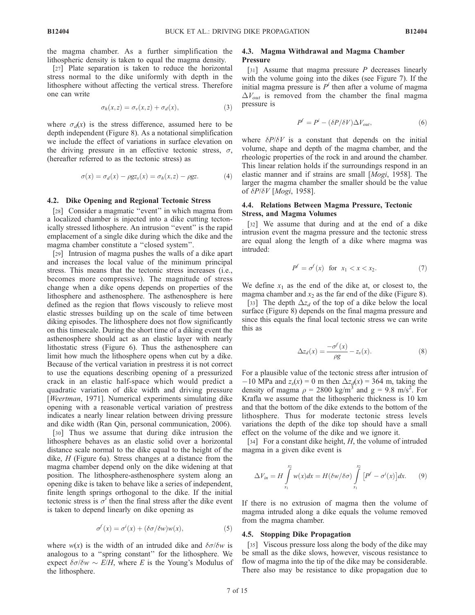the magma chamber. As a further simplification the lithospheric density is taken to equal the magma density.

[27] Plate separation is taken to reduce the horizontal stress normal to the dike uniformly with depth in the lithosphere without affecting the vertical stress. Therefore one can write

$$
\sigma_h(x, z) = \sigma_v(x, z) + \sigma_d(x), \tag{3}
$$

where  $\sigma_d(x)$  is the stress difference, assumed here to be depth independent (Figure 8). As a notational simplification we include the effect of variations in surface elevation on the driving pressure in an effective tectonic stress,  $\sigma$ , (hereafter referred to as the tectonic stress) as

$$
\sigma(x) = \sigma_d(x) - \rho g z_s(x) = \sigma_h(x, z) - \rho g z.
$$
 (4)

#### 4.2. Dike Opening and Regional Tectonic Stress

[28] Consider a magmatic "event" in which magma from a localized chamber is injected into a dike cutting tectonically stressed lithosphere. An intrusion ''event'' is the rapid emplacement of a single dike during which the dike and the magma chamber constitute a ''closed system''.

[29] Intrusion of magma pushes the walls of a dike apart and increases the local value of the minimum principal stress. This means that the tectonic stress increases (i.e., becomes more compressive). The magnitude of stress change when a dike opens depends on properties of the lithosphere and asthenosphere. The asthenosphere is here defined as the region that flows viscously to relieve most elastic stresses building up on the scale of time between diking episodes. The lithosphere does not flow significantly on this timescale. During the short time of a diking event the asthenosphere should act as an elastic layer with nearly lithostatic stress (Figure 6). Thus the asthenosphere can limit how much the lithosphere opens when cut by a dike. Because of the vertical variation in prestress it is not correct to use the equations describing opening of a pressurized crack in an elastic half-space which would predict a quadratic variation of dike width and driving pressure [*Weertman*, 1971]. Numerical experiments simulating dike opening with a reasonable vertical variation of prestress indicates a nearly linear relation between driving pressure and dike width (Ran Qin, personal communication, 2006).

[30] Thus we assume that during dike intrusion the lithosphere behaves as an elastic solid over a horizontal distance scale normal to the dike equal to the height of the dike, H (Figure 6a). Stress changes at a distance from the magma chamber depend only on the dike widening at that position. The lithosphere-asthenosphere system along an opening dike is taken to behave like a series of independent, finite length springs orthogonal to the dike. If the initial tectonic stress is  $\sigma^i$  then the final stress after the dike event is taken to depend linearly on dike opening as

$$
\sigma^{f}(x) = \sigma^{i}(x) + (\delta \sigma / \delta w) w(x), \qquad (5)
$$

where  $w(x)$  is the width of an intruded dike and  $\delta \sigma / \delta w$  is analogous to a ''spring constant'' for the lithosphere. We expect  $\delta\sigma/\delta w \sim E/H$ , where E is the Young's Modulus of the lithosphere.

#### 4.3. Magma Withdrawal and Magma Chamber **Pressure**

[31] Assume that magma pressure  $P$  decreases linearly with the volume going into the dikes (see Figure 7). If the initial magma pressure is  $P<sup>i</sup>$  then after a volume of magma  $\Delta V_{out}$  is removed from the chamber the final magma pressure is

$$
P^f = P^i - (\delta P / \delta V) \Delta V_{out},\tag{6}
$$

where  $\delta P/\delta V$  is a constant that depends on the initial volume, shape and depth of the magma chamber, and the rheologic properties of the rock in and around the chamber. This linear relation holds if the surroundings respond in an elastic manner and if strains are small [Mogi, 1958]. The larger the magma chamber the smaller should be the value of  $\delta P/\delta V$  [Mogi, 1958].

#### 4.4. Relations Between Magma Pressure, Tectonic Stress, and Magma Volumes

[32] We assume that during and at the end of a dike intrusion event the magma pressure and the tectonic stress are equal along the length of a dike where magma was intruded:

$$
P^f = \sigma^f(x) \quad \text{for} \quad x_1 < x < x_2. \tag{7}
$$

We define  $x_1$  as the end of the dike at, or closest to, the magma chamber and  $x_2$  as the far end of the dike (Figure 8).

[33] The depth  $\Delta z_d$  of the top of a dike below the local surface (Figure 8) depends on the final magma pressure and since this equals the final local tectonic stress we can write this as

$$
\Delta z_d(x) = \frac{-\sigma^f(x)}{\rho g} - z_s(x). \tag{8}
$$

For a plausible value of the tectonic stress after intrusion of  $-10$  MPa and  $z_s(x) = 0$  m then  $\Delta z_d(x) = 364$  m, taking the density of magma  $\rho = 2800 \text{ kg/m}^3$  and  $g = 9.8 \text{ m/s}^2$ . For Krafla we assume that the lithospheric thickness is 10 km and that the bottom of the dike extends to the bottom of the lithosphere. Thus for moderate tectonic stress levels variations the depth of the dike top should have a small effect on the volume of the dike and we ignore it.

[34] For a constant dike height,  $H$ , the volume of intruded magma in a given dike event is

$$
\Delta V_{in} = H \int_{x_1}^{x_2} w(x) dx = H(\delta w/\delta \sigma) \int_{x_1}^{x_2} \left[ P^f - \sigma^i(x) \right] dx. \tag{9}
$$

If there is no extrusion of magma then the volume of magma intruded along a dike equals the volume removed from the magma chamber.

#### 4.5. Stopping Dike Propagation

[35] Viscous pressure loss along the body of the dike may be small as the dike slows, however, viscous resistance to flow of magma into the tip of the dike may be considerable. There also may be resistance to dike propagation due to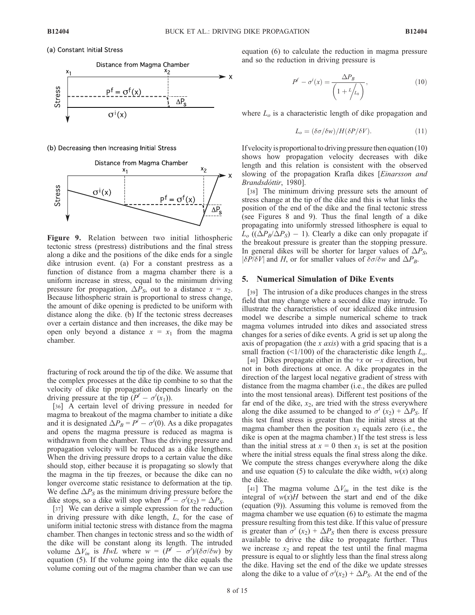(a) Constant Initial Stress



(b) Decreasing then Increasing Initial Stress



Figure 9. Relation between two initial lithospheric tectonic stress (prestress) distributions and the final stress along a dike and the positions of the dike ends for a single dike intrusion event. (a) For a constant prestress as a function of distance from a magma chamber there is a uniform increase in stress, equal to the minimum driving pressure for propagation,  $\Delta P_{S}$ , out to a distance  $x = x_2$ . Because lithospheric strain is proportional to stress change, the amount of dike opening is predicted to be uniform with distance along the dike. (b) If the tectonic stress decreases over a certain distance and then increases, the dike may be open only beyond a distance  $x = x_1$  from the magma chamber.

fracturing of rock around the tip of the dike. We assume that the complex processes at the dike tip combine to so that the velocity of dike tip propagation depends linearly on the driving pressure at the tip  $(P^f - \sigma^i(x_1))$ .

[36] A certain level of driving pressure in needed for magma to breakout of the magma chamber to initiate a dike and it is designated  $\Delta P_B = P^i - \sigma^i(0)$ . As a dike propagates and opens the magma pressure is reduced as magma is withdrawn from the chamber. Thus the driving pressure and propagation velocity will be reduced as a dike lengthens. When the driving pressure drops to a certain value the dike should stop, either because it is propagating so slowly that the magma in the tip freezes, or because the dike can no longer overcome static resistance to deformation at the tip. We define  $\Delta P_S$  as the minimum driving pressure before the dike stops, so a dike will stop when  $P^f - \sigma^i(x_2) = \Delta P_S$ .

[37] We can derive a simple expression for the reduction in driving pressure with dike length, L, for the case of uniform initial tectonic stress with distance from the magma chamber. Then changes in tectonic stress and so the width of the dike will be constant along its length. The intruded volume  $\Delta V_{in}$  is HwL where  $\tilde{w} = (P^f - \sigma^i)/(\delta \sigma/\delta w)$  by equation (5). If the volume going into the dike equals the volume coming out of the magma chamber than we can use

equation (6) to calculate the reduction in magma pressure and so the reduction in driving pressure is

$$
P^f - \sigma^i(x) = \frac{\Delta P_B}{\left(1 + \frac{l}{l_0}\right)},\tag{10}
$$

where  $L<sub>o</sub>$  is a characteristic length of dike propagation and

$$
L_o = (\delta \sigma / \delta w) / H(\delta P / \delta V). \tag{11}
$$

If velocity is proportional to driving pressure then equation  $(10)$ shows how propagation velocity decreases with dike length and this relation is consistent with the observed slowing of the propagation Krafla dikes [Einarsson and Brandsdóttir, 1980].

[38] The minimum driving pressure sets the amount of stress change at the tip of the dike and this is what links the position of the end of the dike and the final tectonic stress (see Figures 8 and 9). Thus the final length of a dike propagating into uniformly stressed lithosphere is equal to  $L_o ((\Delta P_B/\Delta P_S) - 1)$ . Clearly a dike can only propagate if the breakout pressure is greater than the stopping pressure. In general dikes will be shorter for larger values of  $\Delta P_{\rm S}$ ,  $|\delta P/\delta V|$  and H, or for smaller values of  $\delta \sigma/\delta w$  and  $\Delta P_B$ .

### 5. Numerical Simulation of Dike Events

[39] The intrusion of a dike produces changes in the stress field that may change where a second dike may intrude. To illustrate the characteristics of our idealized dike intrusion model we describe a simple numerical scheme to track magma volumes intruded into dikes and associated stress changes for a series of dike events. A grid is set up along the axis of propagation (the x *axis*) with a grid spacing that is a small fraction ( $\leq$ 1/100) of the characteristic dike length  $L_o$ .

[40] Dikes propagate either in the  $+x$  or  $-x$  direction, but not in both directions at once. A dike propagates in the direction of the largest local negative gradient of stress with distance from the magma chamber (i.e., the dikes are pulled into the most tensional areas). Different test positions of the far end of the dike,  $x_2$ , are tried with the stress everywhere along the dike assumed to be changed to  $\sigma^{i}$  (x<sub>2</sub>) +  $\Delta P_{S}$ . If this test final stress is greater than the initial stress at the magma chamber then the position  $x_1$  equals zero (i.e., the dike is open at the magma chamber.) If the test stress is less than the initial stress at  $x = 0$  then  $x_1$  is set at the position where the initial stress equals the final stress along the dike. We compute the stress changes everywhere along the dike and use equation (5) to calculate the dike width,  $w(x)$  along the dike.

[41] The magma volume  $\Delta V_{in}$  in the test dike is the integral of  $w(x)H$  between the start and end of the dike (equation (9)). Assuming this volume is removed from the magma chamber we use equation (6) to estimate the magma pressure resulting from this test dike. If this value of pressure is greater than  $\sigma^{i}$  (x<sub>2</sub>) +  $\Delta P_{S}$  then there is excess pressure available to drive the dike to propagate further. Thus we increase  $x_2$  and repeat the test until the final magma pressure is equal to or slightly less than the final stress along the dike. Having set the end of the dike we update stresses along the dike to a value of  $\sigma^{i}(x_2) + \Delta P_S$ . At the end of the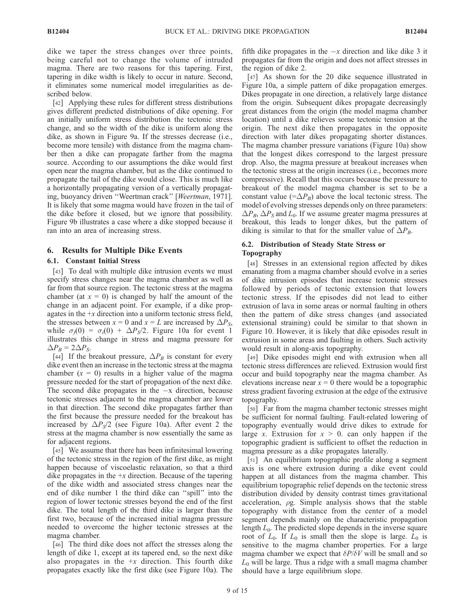dike we taper the stress changes over three points, being careful not to change the volume of intruded magma. There are two reasons for this tapering. First, tapering in dike width is likely to occur in nature. Second, it eliminates some numerical model irregularities as described below.

[42] Applying these rules for different stress distributions gives different predicted distributions of dike opening. For an initially uniform stress distribution the tectonic stress change, and so the width of the dike is uniform along the dike, as shown in Figure 9a. If the stresses decrease (i.e., become more tensile) with distance from the magma chamber then a dike can propagate farther from the magma source. According to our assumptions the dike would first open near the magma chamber, but as the dike continued to propagate the tail of the dike would close. This is much like a horizontally propagating version of a vertically propagating, buoyancy driven ''Weertman crack'' [Weertman, 1971]. It is likely that some magma would have frozen in the tail of the dike before it closed, but we ignore that possibility. Figure 9b illustrates a case where a dike stopped because it ran into an area of increasing stress.

### 6. Results for Multiple Dike Events

#### 6.1. Constant Initial Stress

[43] To deal with multiple dike intrusion events we must specify stress changes near the magma chamber as well as far from that source region. The tectonic stress at the magma chamber (at  $x = 0$ ) is changed by half the amount of the change in an adjacent point. For example, if a dike propagates in the  $+x$  direction into a uniform tectonic stress field, the stresses between  $x = 0$  and  $x = L$  are increased by  $\Delta P_S$ , while  $\sigma_f(0) = \sigma_i(0) + \Delta P_s/2$ . Figure 10a for event 1 illustrates this change in stress and magma pressure for  $\Delta P_B = 2\Delta P_S$ .

[44] If the breakout pressure,  $\Delta P_B$  is constant for every dike event then an increase in the tectonic stress at the magma chamber  $(x = 0)$  results in a higher value of the magma pressure needed for the start of propagation of the next dike. The second dike propagates in the  $-x$  direction, because tectonic stresses adjacent to the magma chamber are lower in that direction. The second dike propagates farther than the first because the pressure needed for the breakout has increased by  $\Delta P_S/2$  (see Figure 10a). After event 2 the stress at the magma chamber is now essentially the same as for adjacent regions.

[45] We assume that there has been infinitesimal lowering of the tectonic stress in the region of the first dike, as might happen because of viscoelastic relaxation, so that a third dike propagates in the  $+x$  direction. Because of the tapering of the dike width and associated stress changes near the end of dike number 1 the third dike can ''spill'' into the region of lower tectonic stresses beyond the end of the first dike. The total length of the third dike is larger than the first two, because of the increased initial magma pressure needed to overcome the higher tectonic stresses at the magma chamber.

[46] The third dike does not affect the stresses along the length of dike 1, except at its tapered end, so the next dike also propagates in the  $+x$  direction. This fourth dike propagates exactly like the first dike (see Figure 10a). The

fifth dike propagates in the  $-x$  direction and like dike 3 it propagates far from the origin and does not affect stresses in the region of dike 2.

[47] As shown for the 20 dike sequence illustrated in Figure 10a, a simple pattern of dike propagation emerges. Dikes propagate in one direction, a relatively large distance from the origin. Subsequent dikes propagate decreasingly great distances from the origin (the model magma chamber location) until a dike relieves some tectonic tension at the origin. The next dike then propagates in the opposite direction with later dikes propagating shorter distances. The magma chamber pressure variations (Figure 10a) show that the longest dikes correspond to the largest pressure drop. Also, the magma pressure at breakout increases when the tectonic stress at the origin increases (i.e., becomes more compressive). Recall that this occurs because the pressure to breakout of the model magma chamber is set to be a constant value  $(=\Delta P_B)$  above the local tectonic stress. The model of evolving stresses depends only on three parameters:  $\Delta P_B$ ,  $\Delta P_S$  and  $L_0$ . If we assume greater magma pressures at breakout, this leads to longer dikes, but the pattern of diking is similar to that for the smaller value of  $\Delta P_B$ .

#### 6.2. Distribution of Steady State Stress or Topography

[48] Stresses in an extensional region affected by dikes emanating from a magma chamber should evolve in a series of dike intrusion episodes that increase tectonic stresses followed by periods of tectonic extension that lowers tectonic stress. If the episodes did not lead to either extrusion of lava in some areas or normal faulting in others then the pattern of dike stress changes (and associated extensional straining) could be similar to that shown in Figure 10. However, it is likely that dike episodes result in extrusion in some areas and faulting in others. Such activity would result in along-axis topography.

[49] Dike episodes might end with extrusion when all tectonic stress differences are relieved. Extrusion would first occur and build topography near the magma chamber. As elevations increase near  $x = 0$  there would be a topographic stress gradient favoring extrusion at the edge of the extrusive topography.

[50] Far from the magma chamber tectonic stresses might be sufficient for normal faulting. Fault-related lowering of topography eventually would drive dikes to extrude for large x. Extrusion for  $x > 0$ . can only happen if the topographic gradient is sufficient to offset the reduction in magma pressure as a dike propagates laterally.

[51] An equilibrium topographic profile along a segment axis is one where extrusion during a dike event could happen at all distances from the magma chamber. This equilibrium topographic relief depends on the tectonic stress distribution divided by density contrast times gravitational acceleration,  $\rho g$ . Simple analysis shows that the stable topography with distance from the center of a model segment depends mainly on the characteristic propagation length  $L_0$ . The predicted slope depends in the inverse square root of  $L_0$ . If  $L_0$  is small then the slope is large.  $L_0$  is sensitive to the magma chamber properties. For a large magma chamber we expect that  $\delta P/\delta V$  will be small and so  $L_0$  will be large. Thus a ridge with a small magma chamber should have a large equilibrium slope.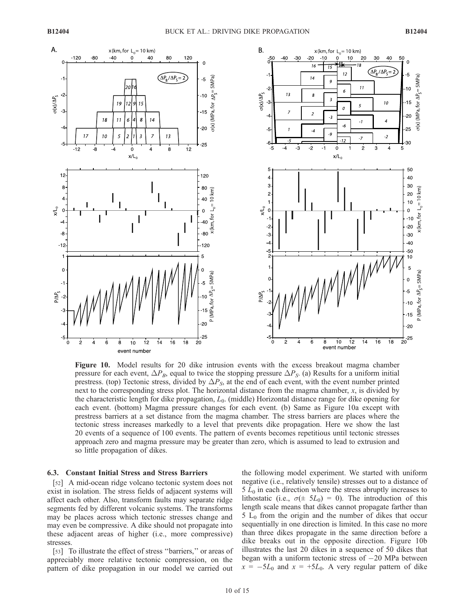

Figure 10. Model results for 20 dike intrusion events with the excess breakout magma chamber pressure for each event,  $\Delta P_B$ , equal to twice the stopping pressure  $\Delta P_S$ . (a) Results for a uniform initial prestress. (top) Tectonic stress, divided by  $\Delta P_{S}$ , at the end of each event, with the event number printed next to the corresponding stress plot. The horizontal distance from the magma chamber, x, is divided by the characteristic length for dike propagation,  $L_0$ . (middle) Horizontal distance range for dike opening for each event. (bottom) Magma pressure changes for each event. (b) Same as Figure 10a except with prestress barriers at a set distance from the magma chamber. The stress barriers are places where the tectonic stress increases markedly to a level that prevents dike propagation. Here we show the last 20 events of a sequence of 100 events. The pattern of events becomes repetitious until tectonic stresses approach zero and magma pressure may be greater than zero, which is assumed to lead to extrusion and so little propagation of dikes.

#### 6.3. Constant Initial Stress and Stress Barriers

[52] A mid-ocean ridge volcano tectonic system does not exist in isolation. The stress fields of adjacent systems will affect each other. Also, transform faults may separate ridge segments fed by different volcanic systems. The transforms may be places across which tectonic stresses change and may even be compressive. A dike should not propagate into these adjacent areas of higher (i.e., more compressive) stresses.

[53] To illustrate the effect of stress "barriers," or areas of appreciably more relative tectonic compression, on the pattern of dike propagation in our model we carried out

the following model experiment. We started with uniform negative (i.e., relatively tensile) stresses out to a distance of  $5 L<sub>0</sub>$  in each direction where the stress abruptly increases to lithostatic (i.e.,  $\sigma(\pm 5L_0) = 0$ ). The introduction of this length scale means that dikes cannot propagate farther than  $5 L<sub>0</sub>$  from the origin and the number of dikes that occur sequentially in one direction is limited. In this case no more than three dikes propagate in the same direction before a dike breaks out in the opposite direction. Figure 10b illustrates the last 20 dikes in a sequence of 50 dikes that began with a uniform tectonic stress of  $-20$  MPa between  $x = -5L_0$  and  $x = +5L_0$ . A very regular pattern of dike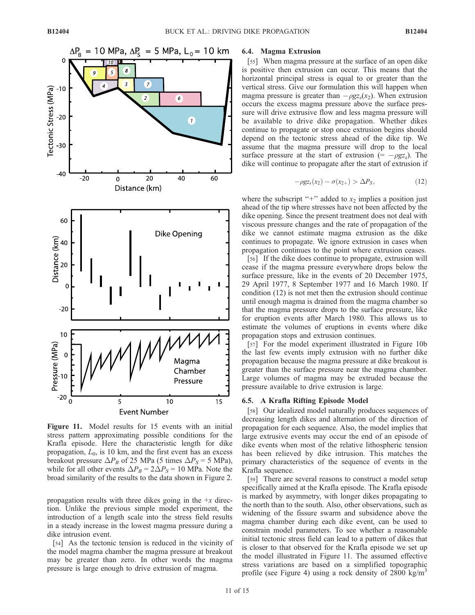

Figure 11. Model results for 15 events with an initial stress pattern approximating possible conditions for the Krafla episode. Here the characteristic length for dike propagation,  $L_0$ , is 10 km, and the first event has an excess breakout pressure  $\Delta P_B$  of 25 MPa (5 times  $\Delta P_S = 5$  MPa), while for all other events  $\Delta P_B = 2\Delta P_S = 10$  MPa. Note the broad similarity of the results to the data shown in Figure 2.

propagation results with three dikes going in the  $+x$  direction. Unlike the previous simple model experiment, the introduction of a length scale into the stress field results in a steady increase in the lowest magma pressure during a dike intrusion event.

[54] As the tectonic tension is reduced in the vicinity of the model magma chamber the magma pressure at breakout may be greater than zero. In other words the magma pressure is large enough to drive extrusion of magma.

#### 6.4. Magma Extrusion

[55] When magma pressure at the surface of an open dike is positive then extrusion can occur. This means that the horizontal principal stress is equal to or greater than the vertical stress. Give our formulation this will happen when magma pressure is greater than  $-\rho gz_s(x_2)$ . When extrusion occurs the excess magma pressure above the surface pressure will drive extrusive flow and less magma pressure will be available to drive dike propagation. Whether dikes continue to propagate or stop once extrusion begins should depend on the tectonic stress ahead of the dike tip. We assume that the magma pressure will drop to the local surface pressure at the start of extrusion  $(=-\rho g z_s)$ . The dike will continue to propagate after the start of extrusion if

$$
-\rho gz_s(x_2) - \sigma(x_{2+}) > \Delta P_S, \qquad (12)
$$

where the subscript "+" added to  $x_2$  implies a position just ahead of the tip where stresses have not been affected by the dike opening. Since the present treatment does not deal with viscous pressure changes and the rate of propagation of the dike we cannot estimate magma extrusion as the dike continues to propagate. We ignore extrusion in cases when propagation continues to the point where extrusion ceases.

[56] If the dike does continue to propagate, extrusion will cease if the magma pressure everywhere drops below the surface pressure, like in the events of 20 December 1975, 29 April 1977, 8 September 1977 and 16 March 1980. If condition (12) is not met then the extrusion should continue until enough magma is drained from the magma chamber so that the magma pressure drops to the surface pressure, like for eruption events after March 1980. This allows us to estimate the volumes of eruptions in events where dike propagation stops and extrusion continues.

[57] For the model experiment illustrated in Figure 10b the last few events imply extrusion with no further dike propagation because the magma pressure at dike breakout is greater than the surface pressure near the magma chamber. Large volumes of magma may be extruded because the pressure available to drive extrusion is large.

## 6.5. A Krafla Rifting Episode Model

[58] Our idealized model naturally produces sequences of decreasing length dikes and alternation of the direction of propagation for each sequence. Also, the model implies that large extrusive events may occur the end of an episode of dike events when most of the relative lithospheric tension has been relieved by dike intrusion. This matches the primary characteristics of the sequence of events in the Krafla sequence.

[59] There are several reasons to construct a model setup specifically aimed at the Krafla episode. The Krafla episode is marked by asymmetry, with longer dikes propagating to the north than to the south. Also, other observations, such as widening of the fissure swarm and subsidence above the magma chamber during each dike event, can be used to constrain model parameters. To see whether a reasonable initial tectonic stress field can lead to a pattern of dikes that is closer to that observed for the Krafla episode we set up the model illustrated in Figure 11. The assumed effective stress variations are based on a simplified topographic profile (see Figure 4) using a rock density of  $2800 \text{ kg/m}^3$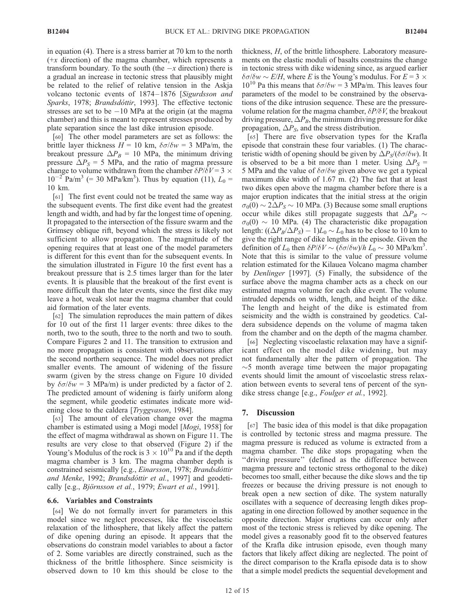in equation (4). There is a stress barrier at 70 km to the north  $(+x$  direction) of the magma chamber, which represents a transform boundary. To the south (the  $-x$  direction) there is a gradual an increase in tectonic stress that plausibly might be related to the relief of relative tension in the Askja volcano tectonic events of 1874–1876 [Sigurdsson and Sparks, 1978; Brandsdóttir, 1993]. The effective tectonic stresses are set to be  $-10$  MPa at the origin (at the magma chamber) and this is meant to represent stresses produced by plate separation since the last dike intrusion episode.

[60] The other model parameters are set as follows: the brittle layer thickness  $H = 10$  km,  $\delta \sigma / \delta w = 3$  MPa/m, the breakout pressure  $\Delta P_B = 10$  MPa, the minimum driving pressure  $\Delta P_S = 5$  MPa, and the ratio of magma pressure change to volume withdrawn from the chamber  $\delta P/\delta V = 3 \times$  $10^{-2}$  Pa/m<sup>3</sup> (= 30 MPa/km<sup>3</sup>). Thus by equation (11),  $L_0$  = 10 km.

[61] The first event could not be treated the same way as the subsequent events. The first dike event had the greatest length and width, and had by far the longest time of opening. It propagated to the intersection of the fissure swarm and the Grimsey oblique rift, beyond which the stress is likely not sufficient to allow propagation. The magnitude of the opening requires that at least one of the model parameters is different for this event than for the subsequent events. In the simulation illustrated in Figure 10 the first event has a breakout pressure that is 2.5 times larger than for the later events. It is plausible that the breakout of the first event is more difficult than the later events, since the first dike may leave a hot, weak slot near the magma chamber that could aid formation of the later events.

[62] The simulation reproduces the main pattern of dikes for 10 out of the first 11 larger events: three dikes to the north, two to the south, three to the north and two to south. Compare Figures 2 and 11. The transition to extrusion and no more propagation is consistent with observations after the second northern sequence. The model does not predict smaller events. The amount of widening of the fissure swarm (given by the stress change on Figure 10 divided by  $\delta\sigma/\delta w = 3$  MPa/m) is under predicted by a factor of 2. The predicted amount of widening is fairly uniform along the segment, while geodetic estimates indicate more widening close to the caldera [Tryggvason, 1984].

[63] The amount of elevation change over the magma chamber is estimated using a Mogi model [Mogi, 1958] for the effect of magma withdrawal as shown on Figure 11. The results are very close to that observed (Figure 2) if the Young's Modulus of the rock is  $3 \times 10^{10}$  Pa and if the depth magma chamber is 3 km. The magma chamber depth is constrained seismically [e.g., Einarsson, 1978; Brandsdóttir and Menke, 1992; Brandsdóttir et al., 1997] and geodetically [e.g., Björnsson et al., 1979; Ewart et al., 1991].

#### 6.6. Variables and Constraints

[64] We do not formally invert for parameters in this model since we neglect processes, like the viscoelastic relaxation of the lithosphere, that likely affect the pattern of dike opening during an episode. It appears that the observations do constrain model variables to about a factor of 2. Some variables are directly constrained, such as the thickness of the brittle lithosphere. Since seismicity is observed down to 10 km this should be close to the thickness, H, of the brittle lithosphere. Laboratory measurements on the elastic moduli of basalts constrains the change in tectonic stress with dike widening since, as argued earlier  $\delta\sigma/\delta w \sim E/H$ , where E is the Young's modulus. For  $E = 3 \times$  $10^{10}$  Pa this means that  $\delta\sigma/\delta w = 3$  MPa/m. This leaves four parameters of the model to be constrained by the observations of the dike intrusion sequence. These are the pressurevolume relation for the magma chamber,  $\delta P/\delta V$ , the breakout driving pressure,  $\Delta P_B$ , the minimum driving pressure for dike propagation,  $\Delta P_S$ , and the stress distribution.

[65] There are five observation types for the Krafla episode that constrain these four variables. (1) The characteristic width of opening should be given by  $\Delta P_S/(\delta \sigma/\delta w)$ . It is observed to be a bit more than 1 meter. Using  $\Delta P_S$  = 5 MPa and the value of  $\delta \sigma/\delta w$  given above we get a typical maximum dike width of 1.67 m. (2) The fact that at least two dikes open above the magma chamber before there is a major eruption indicates that the initial stress at the origin  $\sigma_0(0) \sim 2\Delta P_S \sim 10$  MPa. (3) Because some small eruptions occur while dikes still propagate suggests that  $\Delta P_B \sim$  $\sigma_0(0) \sim 10$  MPa. (4) The characteristic dike propagation length:  $((\Delta P_B/\Delta P_S) - 1)L_0 \sim L_0$  has to be close to 10 km to give the right range of dike lengths in the episode. Given the definition of  $L_0$  then  $\delta P/\delta V \sim (\delta \sigma/\delta w)/h L_0 \sim 30 \text{ MPa/km}^3$ . Note that this is similar to the value of pressure volume relation estimated for the Kilauea Volcano magma chamber by Denlinger [1997]. (5) Finally, the subsidence of the surface above the magma chamber acts as a check on our estimated magma volume for each dike event. The volume intruded depends on width, length, and height of the dike. The length and height of the dike is estimated from seismicity and the width is constrained by geodetics. Caldera subsidence depends on the volume of magma taken from the chamber and on the depth of the magma chamber.

[66] Neglecting viscoelastic relaxation may have a significant effect on the model dike widening, but may not fundamentally alter the pattern of propagation. The  $\sim$ 5 month average time between the major propagating events should limit the amount of viscoelastic stress relaxation between events to several tens of percent of the syndike stress change [e.g., Foulger et al., 1992].

#### 7. Discussion

[67] The basic idea of this model is that dike propagation is controlled by tectonic stress and magma pressure. The magma pressure is reduced as volume is extracted from a magma chamber. The dike stops propagating when the "driving pressure" (defined as the difference between magma pressure and tectonic stress orthogonal to the dike) becomes too small, either because the dike slows and the tip freezes or because the driving pressure is not enough to break open a new section of dike. The system naturally oscillates with a sequence of decreasing length dikes propagating in one direction followed by another sequence in the opposite direction. Major eruptions can occur only after most of the tectonic stress is relieved by dike opening. The model gives a reasonably good fit to the observed features of the Krafla dike intrusion episode, even though many factors that likely affect diking are neglected. The point of the direct comparison to the Krafla episode data is to show that a simple model predicts the sequential development and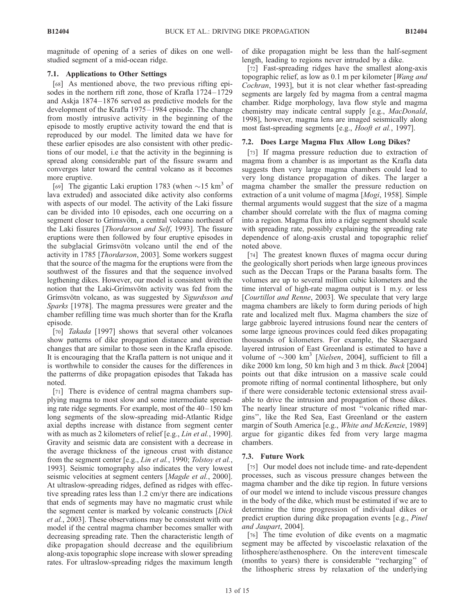magnitude of opening of a series of dikes on one wellstudied segment of a mid-ocean ridge.

# 7.1. Applications to Other Settings

[68] As mentioned above, the two previous rifting episodes in the northern rift zone, those of Krafla 1724–1729 and Askja 1874– 1876 served as predictive models for the development of the Krafla 1975 – 1984 episode. The change from mostly intrusive activity in the beginning of the episode to mostly eruptive activity toward the end that is reproduced by our model. The limited data we have for these earlier episodes are also consistent with other predictions of our model, i.e that the activity in the beginning is spread along considerable part of the fissure swarm and converges later toward the central volcano as it becomes more eruptive.

[69] The gigantic Laki eruption 1783 (when  $\sim$  15 km<sup>3</sup> of lava extruded) and associated dike activity also conforms with aspects of our model. The activity of the Laki fissure can be divided into 10 episodes, each one occurring on a segment closer to Grímsvötn, a central volcano northeast of the Laki fissures [Thordarson and Self, 1993]. The fissure eruptions were then followed by four eruptive episodes in the subglacial Grímsvötn volcano until the end of the activity in 1785 [Thordarson, 2003]. Some workers suggest that the source of the magma for the eruptions were from the southwest of the fissures and that the sequence involved legthening dikes. However, our model is consistent with the notion that the Laki-Grímsvötn activity was fed from the Grímsvötn volcano, as was suggested by Sigurdsson and Sparks [1978]. The magma pressures were greater and the chamber refilling time was much shorter than for the Krafla episode.

[70] Takada [1997] shows that several other volcanoes show patterns of dike propagation distance and direction changes that are similar to those seen in the Krafla episode. It is encouraging that the Krafla pattern is not unique and it is worthwhile to consider the causes for the differences in the patterrns of dike propagation episodes that Takada has noted.

[71] There is evidence of central magma chambers supplying magma to most slow and some intermediate spreading rate ridge segments. For example, most of the 40–150 km long segments of the slow-spreading mid-Atlantic Ridge axial depths increase with distance from segment center with as much as 2 kilometers of relief [e.g., *Lin et al.*, 1990]. Gravity and seismic data are consistent with a decrease in the average thickness of the igneous crust with distance from the segment center [e.g., *Lin et al.*, 1990; *Tolstoy et al.*, 1993]. Seismic tomography also indicates the very lowest seismic velocities at segment centers [*Magde et al.*, 2000]. At ultraslow-spreading ridges, defined as ridges with effective spreading rates less than 1.2 cm/yr there are indications that ends of segments may have no magmatic crust while the segment center is marked by volcanic constructs [Dick et al., 2003]. These observations may be consistent with our model if the central magma chamber becomes smaller with decreasing spreading rate. Then the characteristic length of dike propagation should decrease and the equilibrium along-axis topographic slope increase with slower spreading rates. For ultraslow-spreading ridges the maximum length

of dike propagation might be less than the half-segment length, leading to regions never intruded by a dike.

[72] Fast-spreading ridges have the smallest along-axis topographic relief, as low as 0.1 m per kilometer [Wang and Cochran, 1993], but it is not clear whether fast-spreading segments are largely fed by magma from a central magma chamber. Ridge morphology, lava flow style and magma chemistry may indicate central supply [e.g., MacDonald, 1998], however, magma lens are imaged seismically along most fast-spreading segments [e.g., Hooft et al., 1997].

# 7.2. Does Large Magma Flux Allow Long Dikes?

[73] If magma pressure reduction due to extraction of magma from a chamber is as important as the Krafla data suggests then very large magma chambers could lead to very long distance propagation of dikes. The larger a magma chamber the smaller the pressure reduction on extraction of a unit volume of magma [Mogi, 1958]. Simple thermal arguments would suggest that the size of a magma chamber should correlate with the flux of magma coming into a region. Magma flux into a ridge segment should scale with spreading rate, possibly explaining the spreading rate dependence of along-axis crustal and topographic relief noted above.

[74] The greatest known fluxes of magma occur during the geologically short periods when large igneous provinces such as the Deccan Traps or the Parana basalts form. The volumes are up to several million cubic kilometers and the time interval of high-rate magma output is 1 m.y. or less [Courtillot and Renne, 2003]. We speculate that very large magma chambers are likely to form during periods of high rate and localized melt flux. Magma chambers the size of large gabbroic layered intrusions found near the centers of some large igneous provinces could feed dikes propagating thousands of kilometers. For example, the Skaergaard layered intrusion of East Greenland is estimated to have a volume of  $\sim$ 300 km<sup>3</sup> [*Nielsen*, 2004], sufficient to fill a dike 2000 km long, 50 km high and 3 m thick. Buck [2004] points out that dike intrusion on a massive scale could promote rifting of normal continental lithosphere, but only if there were considerable tectonic extensional stress available to drive the intrusion and propagation of those dikes. The nearly linear structure of most ''volcanic rifted margins'', like the Red Sea, East Greenland or the eastern margin of South America [e.g., White and McKenzie, 1989] argue for gigantic dikes fed from very large magma chambers.

# 7.3. Future Work

[75] Our model does not include time- and rate-dependent processes, such as viscous pressure changes between the magma chamber and the dike tip region. In future versions of our model we intend to include viscous pressure changes in the body of the dike, which must be estimated if we are to determine the time progression of individual dikes or predict eruption during dike propagation events [e.g., Pinel and Jaupart, 2004].

[76] The time evolution of dike events on a magmatic segment may be affected by viscoelastic relaxation of the lithosphere/asthenosphere. On the interevent timescale (months to years) there is considerable ''recharging'' of the lithospheric stress by relaxation of the underlying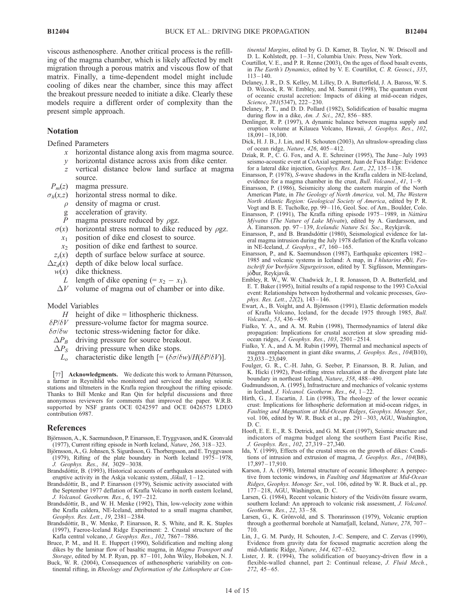viscous asthenosphere. Another critical process is the refilling of the magma chamber, which is likely affected by melt migration through a porous matrix and viscous flow of that matrix. Finally, a time-dependent model might include cooling of dikes near the chamber, since this may affect the breakout pressure needed to initiate a dike. Clearly these models require a different order of complexity than the present simple approach.

## Notation

Defined Parameters

- x horizontal distance along axis from magma source.
- y horizontal distance across axis from dike center.
- z vertical distance below land surface at magma source.
- $P_m(z)$  magma pressure.

 $\sigma_h(x,z)$  horizontal stress normal to dike.

- $\rho$  density of magma or crust.
- g acceleration of gravity.
- P magma pressure reduced by  $\rho$ gz.
- $\sigma(x)$  horizontal stress normal to dike reduced by  $\rho$ gz.  $x_1$  position of dike end closest to source.
	- $x_2$  position of dike end farthest to source.
- 
- $z_s(x)$  depth of surface below surface at source.<br> $\Delta z_d(x)$  depth of dike below local surface. depth of dike below local surface.
	- $w(x)$  dike thickness.
	- L length of dike opening  $(= x_2 x_1)$ .
	- $\Delta V$  volume of magma out of chamber or into dike.
- Model Variables
- $H$  height of dike = lithospheric thickness.
- $\delta P/\delta V$  pressure-volume factor for magma source.
- $\delta\sigma/\delta w$  tectonic stress-widening factor for dike.
- $\Delta P_B$  driving pressure for source breakout.
- $\Delta P_S$  driving pressure when dike stops.
	- $L_o$  characteristic dike length  $[=(\delta \sigma/\delta w)/H(\delta P/\delta V)]$ .

[77] Acknowledgments. We dedicate this work to Armann Pétursson, a farmer in Reynihlid who monitored and serviced the analog seismic stations and tiltmeters in the Krafla region throughout the rifting episode. Thanks to Bill Menke and Ran Qin for helpful discussions and three anonymous reviewers for comments that improved the paper. W.R.B. supported by NSF grants OCE 0242597 and OCE 0426575 LDEO contribution 6987.

#### References

- Björnsson, A., K. Saemundsson, P. Einarsson, E. Tryggvason, and K. Gronvald (1977), Current rifting episode in North Iceland, Nature, 266, 318 – 323.
- Björnsson, A., G. Johnsen, S. Sigurdsson, G. Thorbergsson, and E. Tryggvason (1979), Rifting of the plate boundary in North Iceland 1975– 1978, J. Geophys. Res., 84, 3029 – 3038.
- Brandsdóttir, B. (1993), Historical accounts of earthquakes associated with eruptive activity in the Askja volcanic system,  $J\ddot{o}$ *kull*, 1–12.
- Brandsdóttir, B., and P. Einarsson (1979), Seismic activity associated with the September 1977 deflation of Krafla Volcano in north eastern Iceland, J. Volcanol. Geotherm. Res., 6, 197 – 212.
- Brandsdóttir, B., and W. H. Menke (1992), Thin, low-velocity zone within the Krafla caldera, NE-Iceland, attributed to a small magma chamber, Geophys. Res. Lett., 19, 2381 – 2384.
- Brandsdóttir, B., W. Menke, P. Einarsson, R. S. White, and R. K. Staples (1997), Faeroe-Iceland Ridge Experiment: 2. Crustal structure of the Kafla central volcano, J. Geophys. Res., 102, 7867 – 7886.
- Bruce, P. M., and H. E. Huppert (1990), Solidification and melting along dikes by the laminar flow of basaltic magma, in Magma Transport and Storage, edited by M. P. Ryan, pp. 87 – 101, John Wiley, Hoboken, N. J.
- Buck, W. R. (2004), Consequences of asthenospheric variability on continental rifting, in Rheology and Deformation of the Lithosphere at Con-

tinental Margins, edited by G. D. Karner, B. Taylor, N. W. Driscoll and D. L. Kohlstedt, pp. 1 – 31, Columbia Univ. Press, New York.

- Courtillot, V. E., and P. R. Renne (2003), On the ages of flood basalt events, in The Earth's Dynamics, edited by V. E. Courtillot, C. R. Geosci., 335,  $113 - 140$
- Delaney, J. R., D. S. Kelley, M. Lilley, D. A. Butterfield, J. A. Baross, W. S. D. Wilcock, R. W. Embley, and M. Summit (1998), The quantum event of oceanic crustal accretion: Impacts of diking at mid-ocean ridges, Science, 281(5347), 222-230.
- Delaney, P. T., and D. D. Pollard (1982), Solidification of basaltic magma during flow in a dike, Am. J. Sci., 282, 856-885.
- Denlinger, R. P. (1997), A dynamic balance between magma supply and eruption volume at Kilauea Volcano, Hawaii, J. Geophys. Res., 102,  $18,091 - 18,100.$
- Dick, H. J. B., J. Lin, and H. Schouten (2003), An ultraslow-spreading class of ocean ridge, Nature, 426, 405 – 412.
- Dziak, R. P., C. G. Fox, and A. E. Schreiner (1995), The June July 1993 seismo-acoustic event at CoAxial segment, Juan de Fuca Ridge: Evidence for a lateral dike injection, Geophys. Res. Lett., 22, 135-138.
- Einarsson, P. (1978), S-wave shadows in the Krafla caldera in NE-Iceland, evidence for a magma chamber in the crust, *Bull. Volcanol.*, 41, 1–9.
- Einarsson, P. (1986), Seismicity along the eastern margin of the North American Plate, in The Geology of North America, vol. M, The Western North Atlantic Region: Geological Society of America, edited by P. R. Vogt and B. E. Tucholke, pp. 99 – 116, Geol. Soc. of Am., Boulder, Colo.
- Einarsson, P. (1991), The Krafla rifting episode 1975-1989, in Náttúra Mývatns (The Nature of Lake Mývatn), edited by A. Gardarsson, and A. Einarsson. pp. 97-139, Icelandic Nature Sci. Soc., Reykjavík.
- Einarsson, P., and B. Brandsdóttir (1980), Seismological evidence for lateral magma intrusion during the July 1978 deflation of the Krafla volcano in NE-Iceland, *J. Geophys.*, 47, 160-165.
- Einarsson, P., and K. Saemundsson (1987), Earthquake epicenters 1982 1985 and volcanic systems in Iceland:  $\acute{A}$  map, in  $\acute{I}$  hlutarins e $\ddot{\text{o}}$ li, Festschrift for Þorbjörn Sigurgeirsson, edited by T. Sigfússon, Menningarsjóður, Reykjavík.
- Embley, R. W., W. W. Chadwick Jr., I. R. Jonasson, D. A. Butterfield, and E. T. Baker (1995), Initial results of a rapid response to the 1993 CoAxial event: Relationships between hydrothermal and volcanic processes, Geophys. Res. Lett.,  $22(2)$ ,  $143-146$ .
- Ewart, A., B. Voight, and A. Björnsson (1991), Elastic deformation models of Krafla Volcano, Iceland, for the decade 1975 through 1985, Bull. Volcanol., 53, 436 – 459.
- Fialko, Y. A., and A. M. Rubin (1998), Thermodynamics of lateral dike propagation: Implications for crustal accretion at slow spreading midocean ridges, *J. Geophys. Res.*, 103, 2501-2514.
- Fialko, Y. A., and A. M. Rubin (1999), Thermal and mechanical aspects of magma emplacement in giant dike swarms, J. Geophys. Res., 104(B10),  $23,033 - 23,049.$
- Foulger, G. R., C.-H. Jahn, G. Seeber, P. Einarsson, B. R. Julian, and K. Hicki (1992), Post-rifting stress relaxation at the divergent plate late boundary in northeast Iceland, Nature, 358, 488 – 490.
- Gudmundsson, A. (1995), Infrastructure and mechanics of volcanic systems in Iceland, J. Volcanol. Geotherm. Res.,  $64$ ,  $1-22$ .
- Hirth, G., J. Escartin, J. Lin (1998), The rheology of the lower oceanic crust: Implications for lithospheric deformation at mid-ocean ridges, in Faulting and Magmatism at Mid-Ocean Ridges, Geophys. Monogr. Ser., vol. 106, edited by W. R. Buck et al., pp. 291 – 303, AGU, Washington, D. C.
- Hooft, E. E. E., R. S. Detrick, and G. M. Kent (1997), Seismic structure and indicators of magma budget along the southern East Pacific Rise, J. Geophys. Res., 102, 27,319 – 27,340.
- Ida, Y. (1999), Effects of the crustal stress on the growth of dikes: Conditions of intrusion and extrusion of magma, J. Geophys. Res., 104(B8), 17,897 – 17,910.
- Karson, J. A. (1998), Internal structure of oceanic lithosphere: A perspective from tectonic windows, in Faulting and Magmatism at Mid-Ocean Ridges, Geophys. Monogr. Ser., vol. 106, edited by W. R. Buck et al., pp. 177-218, AGU, Washington, D. C.
- Larsen, G. (1984), Recent volcanic history of the Veidivötn fissure swarm, southern Iceland: An approach to volcanic risk assessment, J. Volcanol. Geotherm. Res., 22, 33-58.
- Larsen, G., K. Grönvold, and S. Thorarinsson (1979), Volcanic eruption through a geothermal borehole at Namafjall, Iceland, Nature, 278, 707 – 710.
- Lin, J., G. M. Purdy, H. Schouten, J.-C. Sempere, and C. Zervas (1990), Evidence from gravity data for focused magmatic accretion along the mid-Atlantic Ridge, Nature, 344, 627-632.
- Lister, J. R. (1994), The solidification of buoyancy-driven flow in a flexible-walled channel, part 2: Continual release, J. Fluid Mech.,  $272, 45 - 65.$